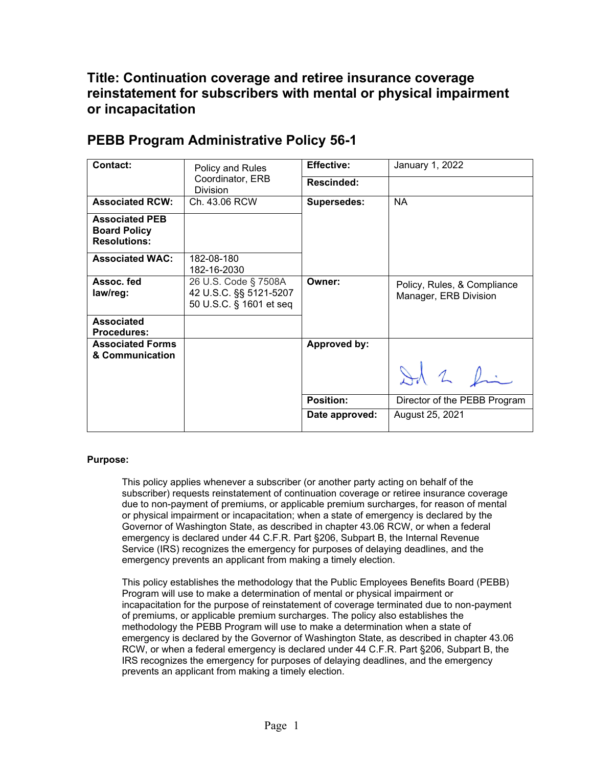## **Title: Continuation coverage and retiree insurance coverage reinstatement for subscribers with mental or physical impairment or incapacitation**

| <b>Contact:</b>                                                     | Policy and Rules                                                          | <b>Effective:</b>  | January 1, 2022                                      |
|---------------------------------------------------------------------|---------------------------------------------------------------------------|--------------------|------------------------------------------------------|
|                                                                     |                                                                           |                    |                                                      |
|                                                                     | Coordinator, ERB<br><b>Division</b>                                       | <b>Rescinded:</b>  |                                                      |
| <b>Associated RCW:</b>                                              | Ch. 43.06 RCW                                                             | <b>Supersedes:</b> | <b>NA</b>                                            |
| <b>Associated PEB</b><br><b>Board Policy</b><br><b>Resolutions:</b> |                                                                           |                    |                                                      |
| <b>Associated WAC:</b>                                              | 182-08-180<br>182-16-2030                                                 |                    |                                                      |
| Assoc. fed<br>law/reg:                                              | 26 U.S. Code § 7508A<br>42 U.S.C. §§ 5121-5207<br>50 U.S.C. § 1601 et seq | Owner:             | Policy, Rules, & Compliance<br>Manager, ERB Division |
| <b>Associated</b><br><b>Procedures:</b>                             |                                                                           |                    |                                                      |
| <b>Associated Forms</b><br>& Communication                          |                                                                           | Approved by:       |                                                      |
|                                                                     |                                                                           |                    | Id 2 fin                                             |
|                                                                     |                                                                           | <b>Position:</b>   | Director of the PEBB Program                         |
|                                                                     |                                                                           | Date approved:     | August 25, 2021                                      |

## **PEBB Program Administrative Policy 56-1**

## **Purpose:**

This policy applies whenever a subscriber (or another party acting on behalf of the subscriber) requests reinstatement of continuation coverage or retiree insurance coverage due to non-payment of premiums, or applicable premium surcharges, for reason of mental or physical impairment or incapacitation; when a state of emergency is declared by the Governor of Washington State, as described in chapter 43.06 RCW, or when a federal emergency is declared under 44 C.F.R. Part §206, Subpart B, the Internal Revenue Service (IRS) recognizes the emergency for purposes of delaying deadlines, and the emergency prevents an applicant from making a timely election.

This policy establishes the methodology that the Public Employees Benefits Board (PEBB) Program will use to make a determination of mental or physical impairment or incapacitation for the purpose of reinstatement of coverage terminated due to non-payment of premiums, or applicable premium surcharges. The policy also establishes the methodology the PEBB Program will use to make a determination when a state of emergency is declared by the Governor of Washington State, as described in chapter 43.06 RCW, or when a federal emergency is declared under 44 C.F.R. Part §206, Subpart B, the IRS recognizes the emergency for purposes of delaying deadlines, and the emergency prevents an applicant from making a timely election.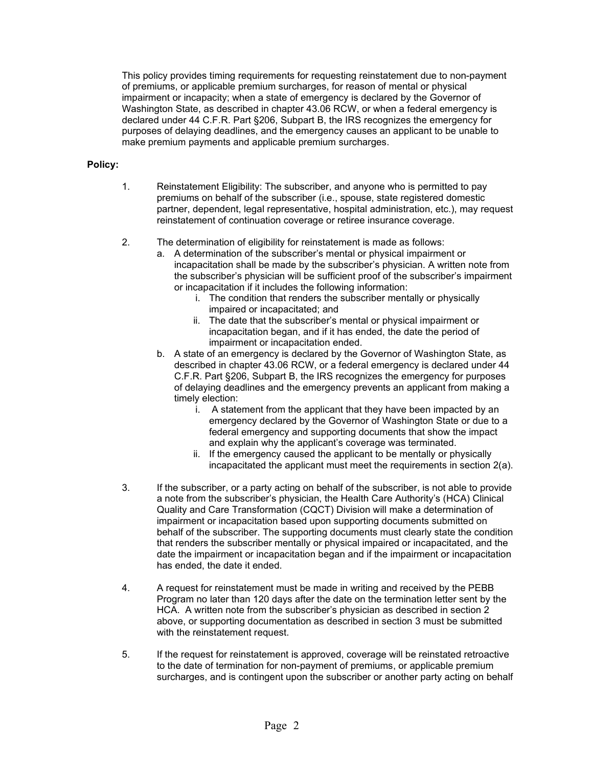This policy provides timing requirements for requesting reinstatement due to non-payment of premiums, or applicable premium surcharges, for reason of mental or physical impairment or incapacity; when a state of emergency is declared by the Governor of Washington State, as described in chapter 43.06 RCW, or when a federal emergency is declared under 44 C.F.R. Part §206, Subpart B, the IRS recognizes the emergency for purposes of delaying deadlines, and the emergency causes an applicant to be unable to make premium payments and applicable premium surcharges.

## **Policy:**

- 1. Reinstatement Eligibility: The subscriber, and anyone who is permitted to pay premiums on behalf of the subscriber (i.e., spouse, state registered domestic partner, dependent, legal representative, hospital administration, etc.), may request reinstatement of continuation coverage or retiree insurance coverage.
- 2. The determination of eligibility for reinstatement is made as follows:
	- a. A determination of the subscriber's mental or physical impairment or incapacitation shall be made by the subscriber's physician. A written note from the subscriber's physician will be sufficient proof of the subscriber's impairment or incapacitation if it includes the following information:
		- i. The condition that renders the subscriber mentally or physically impaired or incapacitated; and
		- ii. The date that the subscriber's mental or physical impairment or incapacitation began, and if it has ended, the date the period of impairment or incapacitation ended.
	- b. A state of an emergency is declared by the Governor of Washington State, as described in chapter 43.06 RCW, or a federal emergency is declared under 44 C.F.R. Part §206, Subpart B, the IRS recognizes the emergency for purposes of delaying deadlines and the emergency prevents an applicant from making a timely election:
		- i. A statement from the applicant that they have been impacted by an emergency declared by the Governor of Washington State or due to a federal emergency and supporting documents that show the impact and explain why the applicant's coverage was terminated.
		- ii. If the emergency caused the applicant to be mentally or physically incapacitated the applicant must meet the requirements in section 2(a).
- 3. If the subscriber, or a party acting on behalf of the subscriber, is not able to provide a note from the subscriber's physician, the Health Care Authority's (HCA) Clinical Quality and Care Transformation (CQCT) Division will make a determination of impairment or incapacitation based upon supporting documents submitted on behalf of the subscriber. The supporting documents must clearly state the condition that renders the subscriber mentally or physical impaired or incapacitated, and the date the impairment or incapacitation began and if the impairment or incapacitation has ended, the date it ended.
- 4. A request for reinstatement must be made in writing and received by the PEBB Program no later than 120 days after the date on the termination letter sent by the HCA. A written note from the subscriber's physician as described in section 2 above, or supporting documentation as described in section 3 must be submitted with the reinstatement request.
- 5. If the request for reinstatement is approved, coverage will be reinstated retroactive to the date of termination for non-payment of premiums, or applicable premium surcharges, and is contingent upon the subscriber or another party acting on behalf